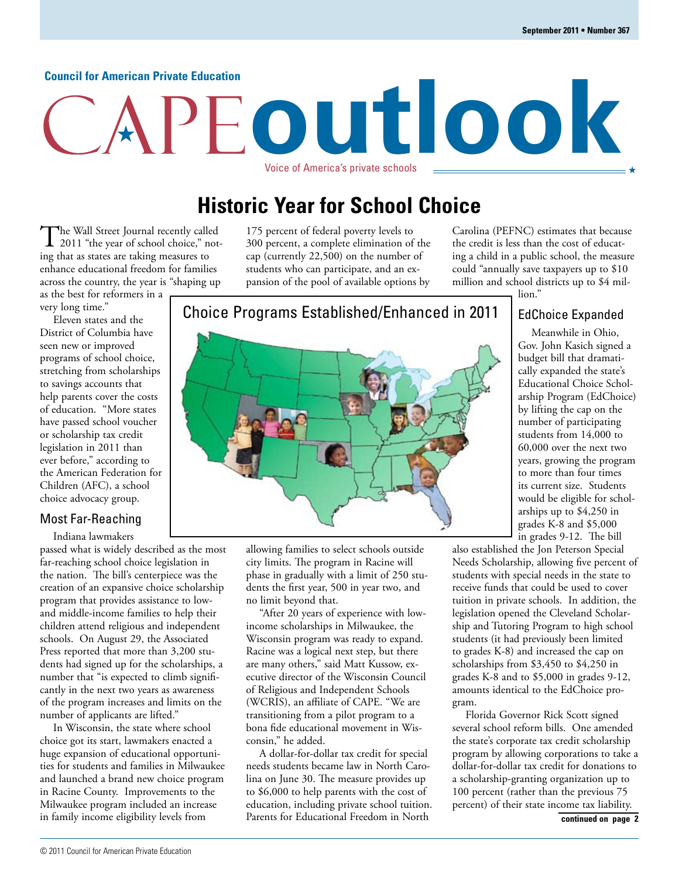#### **Council for American Private Education**

# **outlook** Voice of America's private schools

### **Historic Year for School Choice**

The Wall Street Journal recently called<br>
2011 "the year of school choice," noting that as states are taking measures to enhance educational freedom for families across the country, the year is "shaping up as the best for reformers in a

very long time."

Eleven states and the District of Columbia have seen new or improved programs of school choice, stretching from scholarships to savings accounts that help parents cover the costs of education. "More states have passed school voucher or scholarship tax credit legislation in 2011 than ever before," according to the American Federation for Children (AFC), a school choice advocacy group.

#### Most Far-Reaching

Indiana lawmakers

passed what is widely described as the most far-reaching school choice legislation in the nation. The bill's centerpiece was the creation of an expansive choice scholarship program that provides assistance to lowand middle-income families to help their children attend religious and independent schools. On August 29, the Associated Press reported that more than 3,200 students had signed up for the scholarships, a number that "is expected to climb significantly in the next two years as awareness of the program increases and limits on the number of applicants are lifted."

In Wisconsin, the state where school choice got its start, lawmakers enacted a huge expansion of educational opportunities for students and families in Milwaukee and launched a brand new choice program in Racine County. Improvements to the Milwaukee program included an increase in family income eligibility levels from

175 percent of federal poverty levels to 300 percent, a complete elimination of the cap (currently 22,500) on the number of students who can participate, and an expansion of the pool of available options by

Carolina (PEFNC) estimates that because the credit is less than the cost of educating a child in a public school, the measure could "annually save taxpayers up to \$10 million and school districts up to \$4 million."

#### EdChoice Expanded

Meanwhile in Ohio, Gov. John Kasich signed a budget bill that dramatically expanded the state's Educational Choice Scholarship Program (EdChoice) by lifting the cap on the number of participating students from 14,000 to 60,000 over the next two years, growing the program to more than four times its current size. Students would be eligible for scholarships up to \$4,250 in grades K-8 and \$5,000 in grades 9-12. The bill

allowing families to select schools outside city limits. The program in Racine will phase in gradually with a limit of 250 students the first year, 500 in year two, and no limit beyond that.

"After 20 years of experience with lowincome scholarships in Milwaukee, the Wisconsin program was ready to expand. Racine was a logical next step, but there are many others," said Matt Kussow, executive director of the Wisconsin Council of Religious and Independent Schools (WCRIS), an affiliate of CAPE. "We are transitioning from a pilot program to a bona fide educational movement in Wisconsin," he added.

A dollar-for-dollar tax credit for special needs students became law in North Carolina on June 30. The measure provides up to \$6,000 to help parents with the cost of education, including private school tuition. Parents for Educational Freedom in North

also established the Jon Peterson Special Needs Scholarship, allowing five percent of students with special needs in the state to receive funds that could be used to cover tuition in private schools. In addition, the legislation opened the Cleveland Scholarship and Tutoring Program to high school students (it had previously been limited to grades K-8) and increased the cap on scholarships from \$3,450 to \$4,250 in grades K-8 and to \$5,000 in grades 9-12, amounts identical to the EdChoice program.

Florida Governor Rick Scott signed several school reform bills. One amended the state's corporate tax credit scholarship program by allowing corporations to take a dollar-for-dollar tax credit for donations to a scholarship-granting organization up to 100 percent (rather than the previous 75 percent) of their state income tax liability.

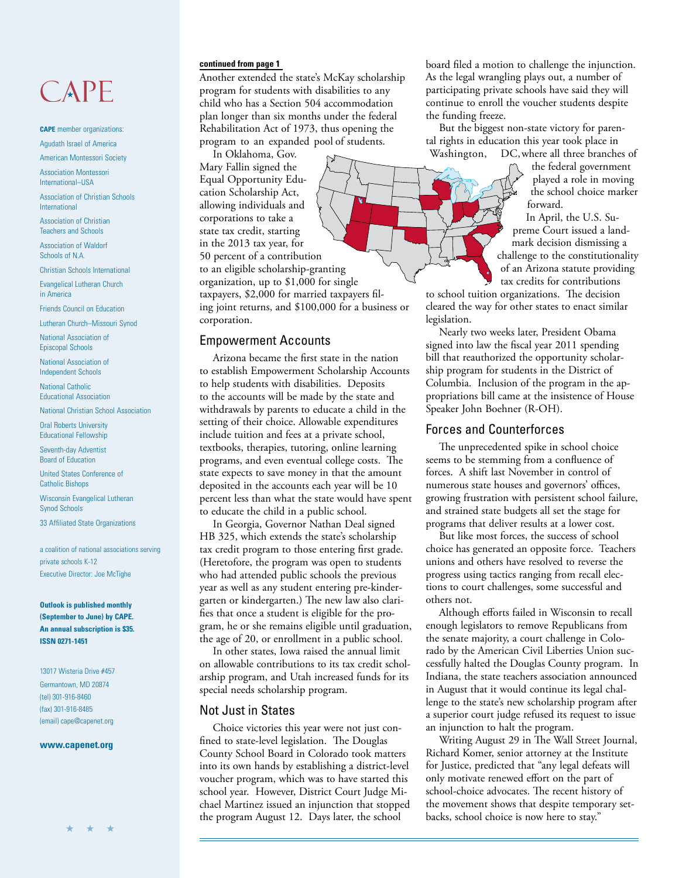## CAPE

**CAPE** member organizations: Agudath Israel of America

American Montessori Society

Association Montessori International–USA

Association of Christian Schools International

Association of Christian Teachers and Schools

Association of Waldorf Schools of N.A.

Christian Schools International

Evangelical Lutheran Church in America

Friends Council on Education

Lutheran Church–Missouri Synod

National Association of Episcopal Schools

National Association of Independent Schools

National Catholic Educational Association

National Christian School Association

Oral Roberts University Educational Fellowship

Seventh-day Adventist Board of Education

United States Conference of Catholic Bishops

Wisconsin Evangelical Lutheran Synod Schools

33 Affiliated State Organizations

a coalition of national associations serving private schools K-12 Executive Director: Joe McTighe

**Outlook is published monthly (September to June) by CAPE. An annual subscription is \$35. ISSN 0271-1451**

13017 Wisteria Drive #457 Germantown, MD 20874 (tel) 301-916-8460 (fax) 301-916-8485 (email) cape@capenet.org

#### **www.capenet.org**

Another extended the state's McKay scholarship program for students with disabilities to any child who has a Section 504 accommodation plan longer than six months under the federal Rehabilitation Act of 1973, thus opening the program to an expanded pool of students.

In Oklahoma, Gov.

Mary Fallin signed the Equal Opportunity Education Scholarship Act, allowing individuals and corporations to take a state tax credit, starting in the 2013 tax year, for 50 percent of a contribution to an eligible scholarship-granting organization, up to \$1,000 for single taxpayers, \$2,000 for married taxpayers filing joint returns, and \$100,000 for a business or corporation.

#### Empowerment Accounts

Arizona became the first state in the nation to establish Empowerment Scholarship Accounts to help students with disabilities. Deposits to the accounts will be made by the state and withdrawals by parents to educate a child in the setting of their choice. Allowable expenditures include tuition and fees at a private school, textbooks, therapies, tutoring, online learning programs, and even eventual college costs. The state expects to save money in that the amount deposited in the accounts each year will be 10 percent less than what the state would have spent to educate the child in a public school.

In Georgia, Governor Nathan Deal signed HB 325, which extends the state's scholarship tax credit program to those entering first grade. (Heretofore, the program was open to students who had attended public schools the previous year as well as any student entering pre-kindergarten or kindergarten.) The new law also clarifies that once a student is eligible for the program, he or she remains eligible until graduation, the age of 20, or enrollment in a public school.

In other states, Iowa raised the annual limit on allowable contributions to its tax credit scholarship program, and Utah increased funds for its special needs scholarship program.

#### Not Just in States

Choice victories this year were not just confined to state-level legislation. The Douglas County School Board in Colorado took matters into its own hands by establishing a district-level voucher program, which was to have started this school year. However, District Court Judge Michael Martinez issued an injunction that stopped the program August 12. Days later, the school

**continued from page 1 board** filed a motion to challenge the injunction. As the legal wrangling plays out, a number of participating private schools have said they will continue to enroll the voucher students despite the funding freeze.

> But the biggest non-state victory for parental rights in education this year took place in Washington, DC, where all three branches of

the federal government played a role in moving the school choice marker forward.

In April, the U.S. Supreme Court issued a landmark decision dismissing a challenge to the constitutionality of an Arizona statute providing tax credits for contributions

to school tuition organizations. The decision cleared the way for other states to enact similar legislation.

Nearly two weeks later, President Obama signed into law the fiscal year 2011 spending bill that reauthorized the opportunity scholarship program for students in the District of Columbia. Inclusion of the program in the appropriations bill came at the insistence of House Speaker John Boehner (R-OH).

#### Forces and Counterforces

The unprecedented spike in school choice seems to be stemming from a confluence of forces. A shift last November in control of numerous state houses and governors' offices, growing frustration with persistent school failure, and strained state budgets all set the stage for programs that deliver results at a lower cost.

But like most forces, the success of school choice has generated an opposite force. Teachers unions and others have resolved to reverse the progress using tactics ranging from recall elections to court challenges, some successful and others not.

Although efforts failed in Wisconsin to recall enough legislators to remove Republicans from the senate majority, a court challenge in Colorado by the American Civil Liberties Union successfully halted the Douglas County program. In Indiana, the state teachers association announced in August that it would continue its legal challenge to the state's new scholarship program after a superior court judge refused its request to issue an injunction to halt the program.

Writing August 29 in The Wall Street Journal, Richard Komer, senior attorney at the Institute for Justice, predicted that "any legal defeats will only motivate renewed effort on the part of school-choice advocates. The recent history of the movement shows that despite temporary setbacks, school choice is now here to stay."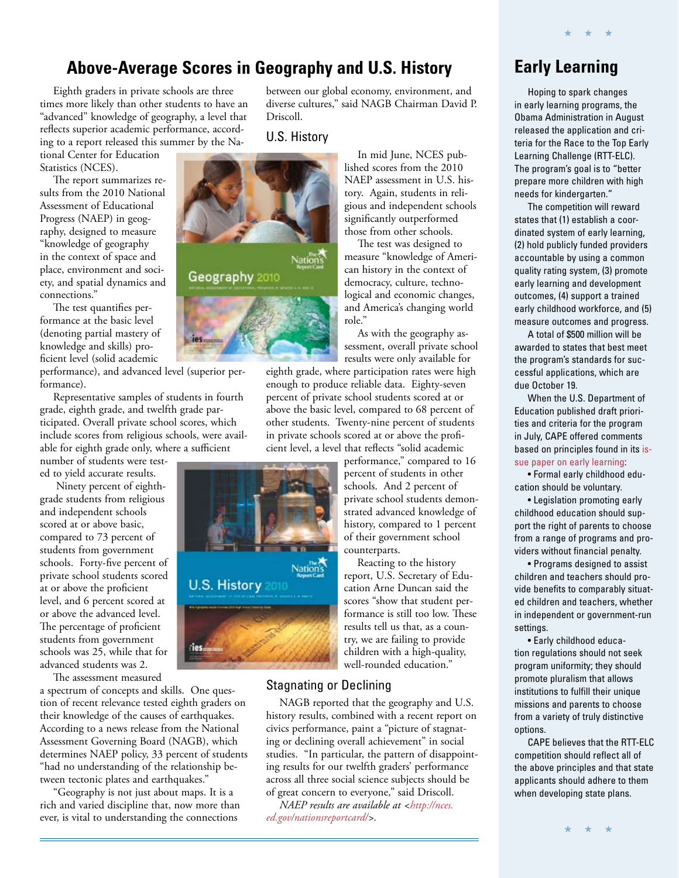### **Above-Average Scores in Geography and U.S. History Early Learning**

Eighth graders in private schools are three times more likely than other students to have an "advanced" knowledge of geography, a level that reflects superior academic performance, according to a report released this summer by the National Center for Education

Statistics (NCES).

The report summarizes results from the 2010 National Assessment of Educational Progress (NAEP) in geography, designed to measure "knowledge of geography in the context of space and place, environment and society, and spatial dynamics and connections."

The test quantifies performance at the basic level (denoting partial mastery of knowledge and skills) proficient level (solid academic

performance), and advanced level (superior performance).

Representative samples of students in fourth grade, eighth grade, and twelfth grade participated. Overall private school scores, which include scores from religious schools, were available for eighth grade only, where a sufficient number of students were test-

ed to yield accurate results.

 Ninety percent of eighthgrade students from religious and independent schools scored at or above basic, compared to 73 percent of students from government schools. Forty-five percent of private school students scored at or above the proficient level, and 6 percent scored at or above the advanced level. The percentage of proficient students from government schools was 25, while that for advanced students was 2.

The assessment measured

a spectrum of concepts and skills. One question of recent relevance tested eighth graders on their knowledge of the causes of earthquakes. According to a news release from the National Assessment Governing Board (NAGB), which determines NAEP policy, 33 percent of students "had no understanding of the relationship between tectonic plates and earthquakes."

"Geography is not just about maps. It is a rich and varied discipline that, now more than ever, is vital to understanding the connections

between our global economy, environment, and diverse cultures," said NAGB Chairman David P. Driscoll.

U.S. History



In mid June, NCES published scores from the 2010 NAEP assessment in U.S. history. Again, students in religious and independent schools significantly outperformed those from other schools.

The test was designed to measure "knowledge of American history in the context of democracy, culture, technological and economic changes, and America's changing world role."

As with the geography assessment, overall private school results were only available for

eighth grade, where participation rates were high enough to produce reliable data. Eighty-seven percent of private school students scored at or above the basic level, compared to 68 percent of other students. Twenty-nine percent of students in private schools scored at or above the proficient level, a level that reflects "solid academic

> performance," compared to 16 percent of students in other schools. And 2 percent of private school students demonstrated advanced knowledge of history, compared to 1 percent of their government school counterparts.

> Reacting to the history report, U.S. Secretary of Education Arne Duncan said the scores "show that student performance is still too low. These results tell us that, as a country, we are failing to provide children with a high-quality, well-rounded education."

#### Stagnating or Declining

Nation's

U.S. History 2010

les.

NAGB reported that the geography and U.S. history results, combined with a recent report on civics performance, paint a "picture of stagnating or declining overall achievement" in social studies. "In particular, the pattern of disappointing results for our twelfth graders' performance across all three social science subjects should be of great concern to everyone," said Driscoll.

*[NAEP results are available at <http://nces.](http://nces.ed.gov/nationsreportcard/) ed.gov/nationsreportcard/>.*

Hoping to spark changes in early learning programs, the Obama Administration in August released the application and criteria for the Race to the Top Early Learning Challenge (RTT-ELC). The program's goal is to "better prepare more children with high needs for kindergarten."

★ ★ ★

The competition will reward states that (1) establish a coordinated system of early learning, (2) hold publicly funded providers accountable by using a common quality rating system, (3) promote early learning and development outcomes, (4) support a trained early childhood workforce, and (5) measure outcomes and progress.

A total of \$500 million will be awarded to states that best meet the program's standards for successful applications, which are due October 19.

When the U.S. Department of Education published draft priorities and criteria for the program in July, CAPE offered comments [based on principles found in its is](http://www.capenet.org/pdf/IP-EC2008.pdf)sue paper on early learning:

• Formal early childhood education should be voluntary.

• Legislation promoting early childhood education should support the right of parents to choose from a range of programs and providers without financial penalty.

• Programs designed to assist children and teachers should provide benefits to comparably situated children and teachers, whether in independent or government-run settings.

• Early childhood education regulations should not seek program uniformity; they should promote pluralism that allows institutions to fulfill their unique missions and parents to choose from a variety of truly distinctive options.

CAPE believes that the RTT-ELC competition should reflect all of the above principles and that state applicants should adhere to them when developing state plans.